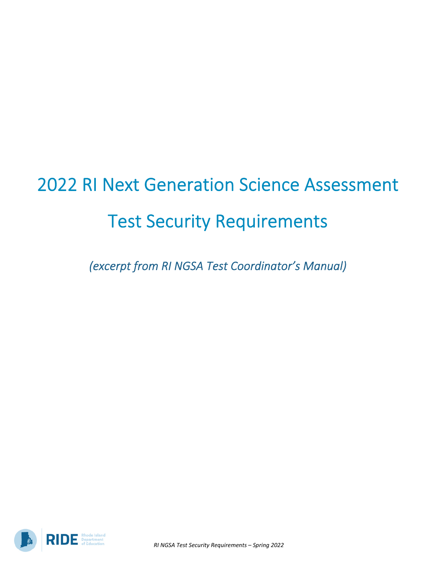# 2022 RI Next Generation Science Assessment Test Security Requirements

*(excerpt from RI NGSA Test Coordinator's Manual)*

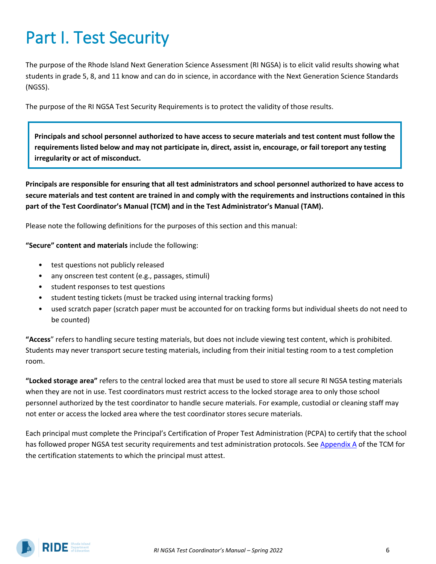## Part I. Test Security

The purpose of the Rhode Island Next Generation Science Assessment (RI NGSA) is to elicit valid results showing what students in grade 5, 8, and 11 know and can do in science, in accordance with the Next Generation Science Standards (NGSS).

The purpose of the RI NGSA Test Security Requirements is to protect the validity of those results.

**Principals and school personnel authorized to have access to secure materials and test content must follow the** requirements listed below and may not participate in, direct, assist in, encourage, or fail toreport any testing **irregularity or act of misconduct.**

**Principals are responsible for ensuring that all test administrators and school personnel authorized to have access to secure materials and test content are trained in and comply with the requirements and instructions contained in this part of the Test Coordinator's Manual (TCM) and in the Test Administrator's Manual (TAM).**

Please note the following definitions for the purposes of this section and this manual:

**"Secure" content and materials** include the following:

- test questions not publicly released
- any onscreen test content (e.g., passages, stimuli)
- student responses to test questions
- student testing tickets (must be tracked using internal tracking forms)
- used scratch paper (scratch paper must be accounted for on tracking forms but individual sheets do not need to be counted)

**"Access**" refers to handling secure testing materials, but does not include viewing test content, which is prohibited. Students may never transport secure testing materials, including from their initial testing room to a test completion room.

**"Locked storage area"** refers to the central locked area that must be used to store all secure RI NGSA testing materials when they are not in use. Test coordinators must restrict access to the locked storage area to only those school personnel authorized by the test coordinator to handle secure materials. For example, custodial or cleaning staff may not enter or access the locked area where the test coordinator stores secure materials.

Each principal must complete the Principal's Certification of Proper Test Administration (PCPA) to certify that the school has followed proper NGSA test security requirements and test administration protocols. See [Appendix A](#page--1-0) of the TCM for the certification statements to which the principal must attest.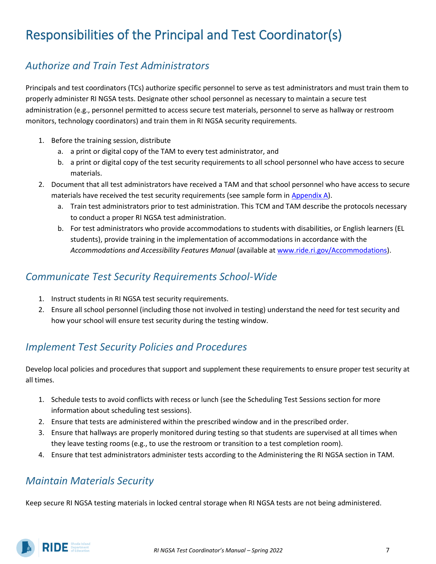## Responsibilities of the Principal and Test Coordinator(s)

#### *Authorize and Train Test Administrators*

Principals and test coordinators (TCs) authorize specific personnel to serve as test administrators and must train them to properly administer RI NGSA tests. Designate other school personnel as necessary to maintain a secure test administration (e.g., personnel permitted to access secure test materials, personnel to serve as hallway or restroom monitors, technology coordinators) and train them in RI NGSA security requirements.

- 1. Before the training session, distribute
	- a. a print or digital copy of the TAM to every test administrator, and
	- b. a print or digital copy of the test security requirements to all school personnel who have access to secure materials.
- 2. Document that all test administrators have received a TAM and that school personnel who have access to secure materials have received the test security requirements (see sample form in  $\Delta$ ppendix  $\Delta$ ).
	- a. Train test administrators prior to test administration. This TCM and TAM describe the protocols necessary to conduct a proper RI NGSA test administration.
	- b. For test administrators who provide accommodations to students with disabilities, or English learners (EL students), provide training in the implementation of accommodations in accordance with the *Accommodations and Accessibility Features Manual* (available a[t www.ride.ri.gov/Accommodations\)](http://www.ride.ri.gov/Accommodations).

#### *Communicate Test Security Requirements School-Wide*

- 1. Instruct students in RI NGSA test security requirements.
- 2. Ensure all school personnel (including those not involved in testing) understand the need for test security and how your school will ensure test security during the testing window.

#### *Implement Test Security Policies and Procedures*

Develop local policies and procedures that support and supplement these requirements to ensure proper test security at all times.

- 1. Schedule tests to avoid conflicts with recess or lunch (see the Scheduling Test Sessions section for more information about scheduling test sessions).
- 2. Ensure that tests are administered within the prescribed window and in the prescribed order.
- 3. Ensure that hallways are properly monitored during testing so that students are supervised at all times when they leave testing rooms (e.g., to use the restroom or transition to a test completion room).
- 4. Ensure that test administrators administer tests according to the Administering the RI NGSA section in TAM.

#### *Maintain Materials Security*

Keep secure RI NGSA testing materials in locked central storage when RI NGSA tests are not being administered.

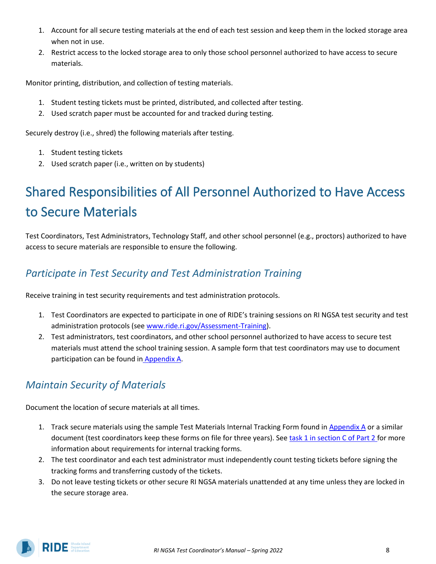- 1. Account for all secure testing materials at the end of each test session and keep them in the locked storage area when not in use.
- 2. Restrict access to the locked storage area to only those school personnel authorized to have access to secure materials.

Monitor printing, distribution, and collection of testing materials.

- 1. Student testing tickets must be printed, distributed, and collected after testing.
- 2. Used scratch paper must be accounted for and tracked during testing.

Securely destroy (i.e., shred) the following materials after testing.

- 1. Student testing tickets
- 2. Used scratch paper (i.e., written on by students)

## Shared Responsibilities of All Personnel Authorized to Have Access to Secure Materials

Test Coordinators, Test Administrators, Technology Staff, and other school personnel (e.g., proctors) authorized to have access to secure materials are responsible to ensure the following.

#### *Participate in Test Security and Test Administration Training*

Receive training in test security requirements and test administration protocols.

- 1. Test Coordinators are expected to participate in one of RIDE's training sessions on RI NGSA test security and test administration protocols (see [www.ride.ri.gov/Assessment-Training\)](http://www.ride.ri.gov/Assessment-Training).
- 2. Test administrators, test coordinators, and other school personnel authorized to have access to secure test materials must attend the school training session. A sample form that test coordinators may use to document participation can be found in [Appendix](#page--1-0) A.

#### *Maintain Security of Materials*

Document the location of secure materials at all times.

- 1. Track secure materials using the sample Test Materials Internal Tracking Form found in [Appendix](#page--1-0) A or a similar document (test coordinators keep these forms on file for three years). See [task 1 in section C of Part 2 f](#page--1-1)or more information about requirements for internal tracking forms.
- 2. The test coordinator and each test administrator must independently count testing tickets before signing the tracking forms and transferring custody of the tickets.
- 3. Do not leave testing tickets or other secure RI NGSA materials unattended at any time unless they are locked in the secure storage area.

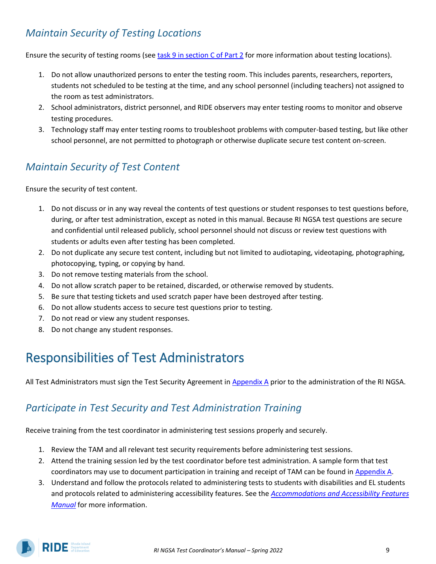#### *Maintain Security of Testing Locations*

Ensure the security of testing rooms (see [task 9 in section C of Part 2](#page--1-2) for more information about testing locations).

- 1. Do not allow unauthorized persons to enter the testing room. This includes parents, researchers, reporters, students not scheduled to be testing at the time, and any school personnel (including teachers) not assigned to the room as test administrators.
- 2. School administrators, district personnel, and RIDE observers may enter testing rooms to monitor and observe testing procedures.
- 3. Technology staff may enter testing rooms to troubleshoot problems with computer-based testing, but like other school personnel, are not permitted to photograph or otherwise duplicate secure test content on-screen.

#### *Maintain Security of Test Content*

Ensure the security of test content.

- 1. Do not discuss or in any way reveal the contents of test questions or student responses to test questions before, during, or after test administration, except as noted in this manual. Because RI NGSA test questions are secure and confidential until released publicly, school personnel should not discuss or review test questions with students or adults even after testing has been completed.
- 2. Do not duplicate any secure test content, including but not limited to audiotaping, videotaping, photographing, photocopying, typing, or copying by hand.
- 3. Do not remove testing materials from the school.
- 4. Do not allow scratch paper to be retained, discarded, or otherwise removed by students.
- 5. Be sure that testing tickets and used scratch paper have been destroyed after testing.
- 6. Do not allow students access to secure test questions prior to testing.
- 7. Do not read or view any student responses.
- 8. Do not change any student responses.

## Responsibilities of Test Administrators

All Test Administrators must sign the Test Security Agreement in [Appendix](#page--1-0) A prior to the administration of the RI NGSA.

#### *Participate in Test Security and Test Administration Training*

Receive training from the test coordinator in administering test sessions properly and securely.

- 1. Review the TAM and all relevant test security requirements before administering test sessions.
- 2. Attend the training session led by the test coordinator before test administration. A sample form that test coordinators may use to document participation in training and receipt of TAM can be found in [Appendix](#page--1-0) A.
- 3. Understand and follow the protocols related to administering tests to students with disabilities and EL students and protocols related to administering accessibility features. See the *[Accommodations and Accessibility Features](https://www.ride.ri.gov/InstructionAssessment/Assessment/AssessmentAccommodations.aspx#41061634-risap-accommodations-and-accessibility-manual-and-other-resources)  [Manual](https://www.ride.ri.gov/InstructionAssessment/Assessment/AssessmentAccommodations.aspx#41061634-risap-accommodations-and-accessibility-manual-and-other-resources)* for more information.

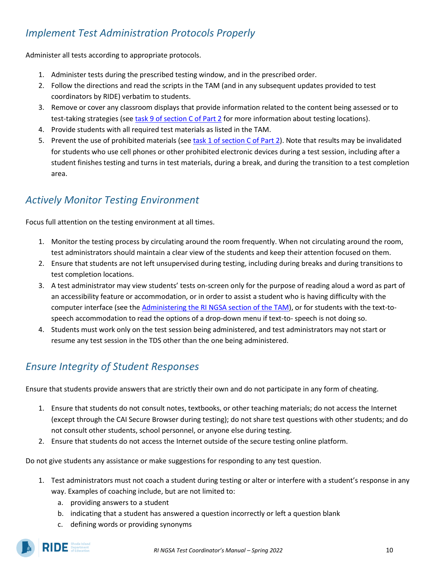#### *Implement Test Administration Protocols Properly*

Administer all tests according to appropriate protocols.

- 1. Administer tests during the prescribed testing window, and in the prescribed order.
- 2. Follow the directions and read the scripts in the TAM (and in any subsequent updates provided to test coordinators by RIDE) verbatim to students.
- 3. Remove or cover any classroom displays that provide information related to the content being assessed or to test-taking strategies (see [task 9 of section C of Part 2](#page--1-2) for more information about testing locations).
- 4. Provide students with all required test materials as listed in the TAM.
- 5. Prevent the use of prohibited materials (see [task 1 of section C of Part 2\)](#page--1-1). Note that results may be invalidated for students who use cell phones or other prohibited electronic devices during a test session, including after a student finishes testing and turns in test materials, during a break, and during the transition to a test completion area.

#### *Actively Monitor Testing Environment*

Focus full attention on the testing environment at all times.

- 1. Monitor the testing process by circulating around the room frequently. When not circulating around the room, test administrators should maintain a clear view of the students and keep their attention focused on them.
- 2. Ensure that students are not left unsupervised during testing, including during breaks and during transitions to test completion locations.
- 3. A test administrator may view students' tests on-screen only for the purpose of reading aloud a word as part of an accessibility feature or accommodation, or in order to assist a student who is having difficulty with the computer interface (see the [Administering the RI NGSA section of the TAM\)](https://ri.portal.cambiumast.com/-/media/project/client-portals/rhode-island/pdf/ri-ngsa-tam_final.pdf#page=28), or for students with the text-tospeech accommodation to read the options of a drop-down menu if text-to- speech is not doing so.
- 4. Students must work only on the test session being administered, and test administrators may not start or resume any test session in the TDS other than the one being administered.

#### *Ensure Integrity of Student Responses*

Ensure that students provide answers that are strictly their own and do not participate in any form of cheating.

- 1. Ensure that students do not consult notes, textbooks, or other teaching materials; do not access the Internet (except through the CAI Secure Browser during testing); do not share test questions with other students; and do not consult other students, school personnel, or anyone else during testing.
- 2. Ensure that students do not access the Internet outside of the secure testing online platform.

Do not give students any assistance or make suggestions for responding to any test question.

- 1. Test administrators must not coach a student during testing or alter or interfere with a student's response in any way. Examples of coaching include, but are not limited to:
	- a. providing answers to a student
	- b. indicating that a student has answered a question incorrectly or left a question blank
	- c. defining words or providing synonyms

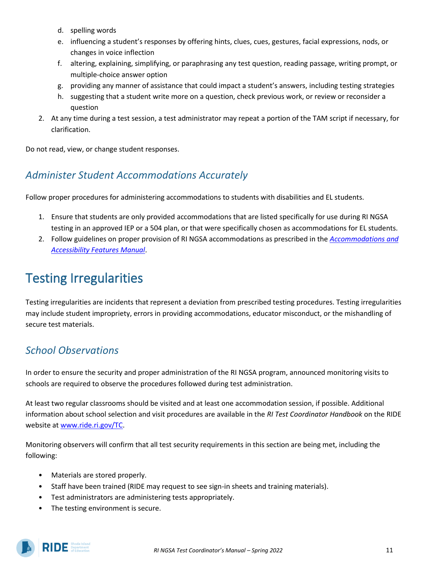- d. spelling words
- e. influencing a student's responses by offering hints, clues, cues, gestures, facial expressions, nods, or changes in voice inflection
- f. altering, explaining, simplifying, or paraphrasing any test question, reading passage, writing prompt, or multiple-choice answer option
- g. providing any manner of assistance that could impact a student's answers, including testing strategies
- h. suggesting that a student write more on a question, check previous work, or review or reconsider a question
- 2. At any time during a test session, a test administrator may repeat a portion of the TAM script if necessary, for clarification.

Do not read, view, or change student responses.

#### *Administer Student Accommodations Accurately*

Follow proper procedures for administering accommodations to students with disabilities and EL students.

- 1. Ensure that students are only provided accommodations that are listed specifically for use during RI NGSA testing in an approved IEP or a 504 plan, or that were specifically chosen as accommodations for EL students.
- 2. Follow guidelines on proper provision of RI NGSA accommodations as prescribed in the *[Accommodations and](https://www.ride.ri.gov/InstructionAssessment/Assessment/AssessmentAccommodations.aspx#41061634-risap-accommodations-and-accessibility-manual-and-other-resources)  [Accessibility Features Manual](https://www.ride.ri.gov/InstructionAssessment/Assessment/AssessmentAccommodations.aspx#41061634-risap-accommodations-and-accessibility-manual-and-other-resources)*.

## Testing Irregularities

Testing irregularities are incidents that represent a deviation from prescribed testing procedures. Testing irregularities may include student impropriety, errors in providing accommodations, educator misconduct, or the mishandling of secure test materials.

#### *School Observations*

In order to ensure the security and proper administration of the RI NGSA program, announced monitoring visits to schools are required to observe the procedures followed during test administration.

At least two regular classrooms should be visited and at least one accommodation session, if possible. Additional information about school selection and visit procedures are available in the *RI Test Coordinator Handbook* on the RIDE website at [www.ride.ri.gov/TC.](http://www.ride.ri.gov/TC)

Monitoring observers will confirm that all test security requirements in this section are being met, including the following:

- Materials are stored properly.
- Staff have been trained (RIDE may request to see sign-in sheets and training materials).
- Test administrators are administering tests appropriately.
- The testing environment is secure.

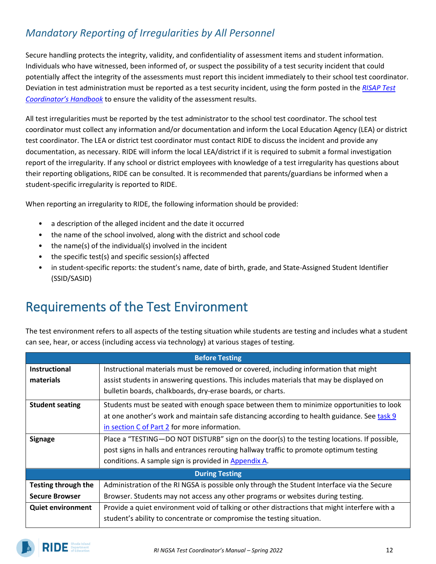#### *Mandatory Reporting of Irregularities by All Personnel*

Secure handling protects the integrity, validity, and confidentiality of assessment items and student information. Individuals who have witnessed, been informed of, or suspect the possibility of a test security incident that could potentially affect the integrity of the assessments must report this incident immediately to their school test coordinator. Deviation in test administration must be reported as a test security incident, using the form posted in the *[RISAP Test](https://www.ride.ri.gov/InstructionAssessment/Assessment/RISAPTestCoordinatorInformation.aspx#41911748-risap-test-coordinator-handbook)  [Coordinator's Handbook](https://www.ride.ri.gov/InstructionAssessment/Assessment/RISAPTestCoordinatorInformation.aspx#41911748-risap-test-coordinator-handbook)* to ensure the validity of the assessment results.

All test irregularities must be reported by the test administrator to the school test coordinator. The school test coordinator must collect any information and/or documentation and inform the Local Education Agency (LEA) or district test coordinator. The LEA or district test coordinator must contact RIDE to discuss the incident and provide any documentation, as necessary. RIDE will inform the local LEA/district if it is required to submit a formal investigation report of the irregularity. If any school or district employees with knowledge of a test irregularity has questions about their reporting obligations, RIDE can be consulted. It is recommended that parents/guardians be informed when a student-specific irregularity is reported to RIDE.

When reporting an irregularity to RIDE, the following information should be provided:

- a description of the alleged incident and the date it occurred
- the name of the school involved, along with the district and school code
- the name(s) of the individual(s) involved in the incident
- the specific test(s) and specific session(s) affected
- in student-specific reports: the student's name, date of birth, grade, and State-Assigned Student Identifier (SSID/SASID)

### Requirements of the Test Environment

The test environment refers to all aspects of the testing situation while students are testing and includes what a student can see, hear, or access (including access via technology) at various stages of testing.

| <b>Before Testing</b>      |                                                                                               |
|----------------------------|-----------------------------------------------------------------------------------------------|
| <b>Instructional</b>       | Instructional materials must be removed or covered, including information that might          |
| materials                  | assist students in answering questions. This includes materials that may be displayed on      |
|                            | bulletin boards, chalkboards, dry-erase boards, or charts.                                    |
| <b>Student seating</b>     | Students must be seated with enough space between them to minimize opportunities to look      |
|                            | at one another's work and maintain safe distancing according to health guidance. See task 9   |
|                            | in section C of Part 2 for more information.                                                  |
| <b>Signage</b>             | Place a "TESTING-DO NOT DISTURB" sign on the door(s) to the testing locations. If possible,   |
|                            | post signs in halls and entrances rerouting hallway traffic to promote optimum testing        |
|                            | conditions. A sample sign is provided in Appendix A.                                          |
| <b>During Testing</b>      |                                                                                               |
| <b>Testing through the</b> | Administration of the RI NGSA is possible only through the Student Interface via the Secure   |
| <b>Secure Browser</b>      | Browser. Students may not access any other programs or websites during testing.               |
| <b>Quiet environment</b>   | Provide a quiet environment void of talking or other distractions that might interfere with a |
|                            | student's ability to concentrate or compromise the testing situation.                         |

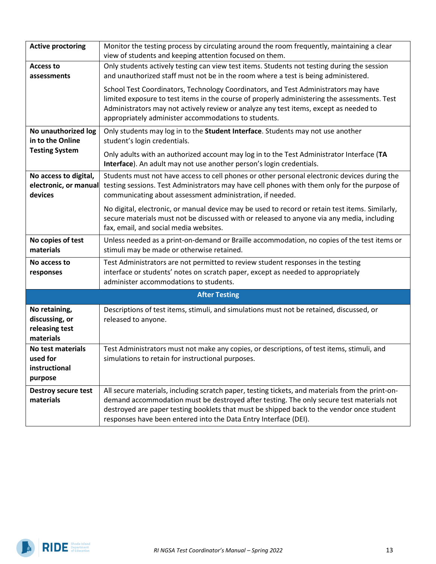| <b>Active proctoring</b>                                         | Monitor the testing process by circulating around the room frequently, maintaining a clear<br>view of students and keeping attention focused on them.                                                                                                                                                                                                         |
|------------------------------------------------------------------|---------------------------------------------------------------------------------------------------------------------------------------------------------------------------------------------------------------------------------------------------------------------------------------------------------------------------------------------------------------|
| <b>Access to</b><br>assessments                                  | Only students actively testing can view test items. Students not testing during the session<br>and unauthorized staff must not be in the room where a test is being administered.                                                                                                                                                                             |
|                                                                  | School Test Coordinators, Technology Coordinators, and Test Administrators may have<br>limited exposure to test items in the course of properly administering the assessments. Test<br>Administrators may not actively review or analyze any test items, except as needed to<br>appropriately administer accommodations to students.                          |
| No unauthorized log<br>in to the Online                          | Only students may log in to the Student Interface. Students may not use another<br>student's login credentials.                                                                                                                                                                                                                                               |
| <b>Testing System</b>                                            | Only adults with an authorized account may log in to the Test Administrator Interface (TA<br>Interface). An adult may not use another person's login credentials.                                                                                                                                                                                             |
| No access to digital,<br>electronic, or manual<br>devices        | Students must not have access to cell phones or other personal electronic devices during the<br>testing sessions. Test Administrators may have cell phones with them only for the purpose of<br>communicating about assessment administration, if needed.                                                                                                     |
|                                                                  | No digital, electronic, or manual device may be used to record or retain test items. Similarly,<br>secure materials must not be discussed with or released to anyone via any media, including<br>fax, email, and social media websites.                                                                                                                       |
| No copies of test<br>materials                                   | Unless needed as a print-on-demand or Braille accommodation, no copies of the test items or<br>stimuli may be made or otherwise retained.                                                                                                                                                                                                                     |
| No access to<br>responses                                        | Test Administrators are not permitted to review student responses in the testing<br>interface or students' notes on scratch paper, except as needed to appropriately<br>administer accommodations to students.                                                                                                                                                |
| <b>After Testing</b>                                             |                                                                                                                                                                                                                                                                                                                                                               |
| No retaining,<br>discussing, or<br>releasing test<br>materials   | Descriptions of test items, stimuli, and simulations must not be retained, discussed, or<br>released to anyone.                                                                                                                                                                                                                                               |
| <b>No test materials</b><br>used for<br>instructional<br>purpose | Test Administrators must not make any copies, or descriptions, of test items, stimuli, and<br>simulations to retain for instructional purposes.                                                                                                                                                                                                               |
| <b>Destroy secure test</b><br>materials                          | All secure materials, including scratch paper, testing tickets, and materials from the print-on-<br>demand accommodation must be destroyed after testing. The only secure test materials not<br>destroyed are paper testing booklets that must be shipped back to the vendor once student<br>responses have been entered into the Data Entry Interface (DEI). |